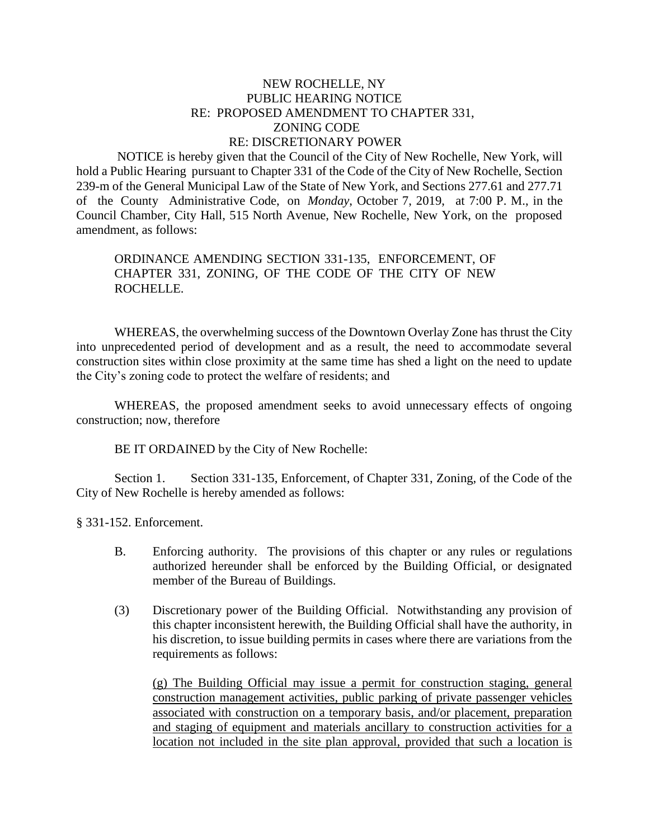## NEW ROCHELLE, NY PUBLIC HEARING NOTICE RE: PROPOSED AMENDMENT TO CHAPTER 331, ZONING CODE RE: DISCRETIONARY POWER

 NOTICE is hereby given that the Council of the City of New Rochelle, New York, will hold a Public Hearing pursuant to Chapter 331 of the Code of the City of New Rochelle, Section 239-m of the General Municipal Law of the State of New York, and Sections 277.61 and 277.71 of the County Administrative Code, on *Monday*, October 7, 2019, at 7:00 P. M., in the Council Chamber, City Hall, 515 North Avenue, New Rochelle, New York, on the proposed amendment, as follows:

ORDINANCE AMENDING SECTION 331-135, ENFORCEMENT, OF CHAPTER 331, ZONING*,* OF THE CODE OF THE CITY OF NEW ROCHELLE.

WHEREAS, the overwhelming success of the Downtown Overlay Zone has thrust the City into unprecedented period of development and as a result, the need to accommodate several construction sites within close proximity at the same time has shed a light on the need to update the City's zoning code to protect the welfare of residents; and

WHEREAS, the proposed amendment seeks to avoid unnecessary effects of ongoing construction; now, therefore

BE IT ORDAINED by the City of New Rochelle:

Section 1. Section 331-135, Enforcement, of Chapter 331, Zoning, of the Code of the City of New Rochelle is hereby amended as follows:

§ 331-152. Enforcement.

- B. Enforcing authority. The provisions of this chapter or any rules or regulations authorized hereunder shall be enforced by the Building Official, or designated member of the Bureau of Buildings.
- (3) Discretionary power of the Building Official. Notwithstanding any provision of this chapter inconsistent herewith, the Building Official shall have the authority, in his discretion, to issue building permits in cases where there are variations from the requirements as follows:

(g) The Building Official may issue a permit for construction staging, general construction management activities, public parking of private passenger vehicles associated with construction on a temporary basis, and/or placement, preparation and staging of equipment and materials ancillary to construction activities for a location not included in the site plan approval, provided that such a location is